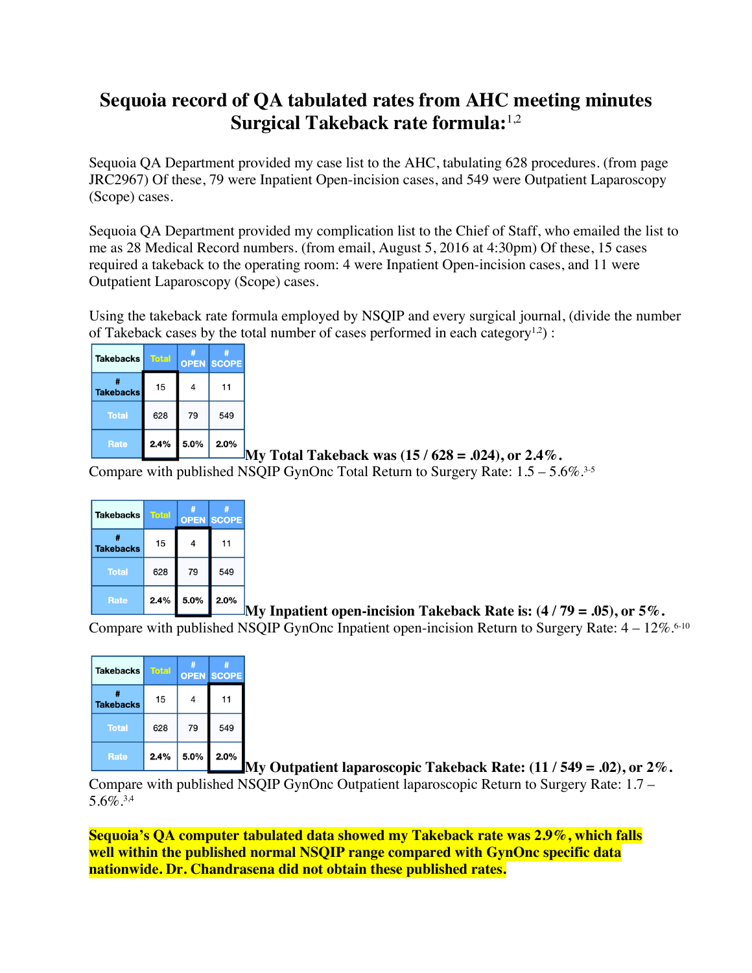## **Sequoia record of QA tabulated rates from AHC meeting minutes Surgical Takeback rate formula:**1,2

Sequoia QA Department provided my case list to the AHC, tabulating 628 procedures. (from page JRC2967) Of these, 79 were Inpatient Open-incision cases, and 549 were Outpatient Laparoscopy (Scope) cases.

Sequoia QA Department provided my complication list to the Chief of Staff, who emailed the list to me as 28 Medical Record numbers. (from email, August 5, 2016 at 4:30pm) Of these, 15 cases required a takeback to the operating room: 4 were Inpatient Open-incision cases, and 11 were Outpatient Laparoscopy (Scope) cases.

Using the takeback rate formula employed by NSQIP and every surgical journal, (divide the number of Takeback cases by the total number of cases performed in each category<sup>1,2</sup>):

| <b>Takebacks</b>      | <b>Total</b> |      | <b>OPEN SCOPE</b> |
|-----------------------|--------------|------|-------------------|
| #<br><b>Takebacks</b> | 15           |      | 11                |
| <b>Total</b>          | 628          | 79   | 549               |
| <b>Rate</b>           | 2.4%         | 5.0% | 2.0%              |

**My Total Takeback was (15 / 628 = .024), or 2.4%.** 

Compare with published NSQIP GynOnc Total Return to Surgery Rate: 1.5 – 5.6%. 3-5

| Takebacks        | <b>Total</b> |      | #<br><b>OPEN SCOPE</b> |
|------------------|--------------|------|------------------------|
| <b>Takebacks</b> | 15           | 4    | 11                     |
| <b>Total</b>     | 628          | 79   | 549                    |
| <b>Rate</b>      | 2.4%         | 5.0% | 2.0%                   |

**My Inpatient open-incision Takeback Rate is: (4 / 79 = .05), or 5%.**

Compare with published NSQIP GynOnc Inpatient open-incision Return to Surgery Rate:  $4-12\%$ .<sup>6-10</sup>

| <b>Takebacks</b>      | <b>Total</b> | #    | #<br><b>OPEN SCOPE</b> |
|-----------------------|--------------|------|------------------------|
| #<br><b>Takebacks</b> | 15           | 4    | 11                     |
| <b>Total</b>          | 628          | 79   | 549                    |
| <b>Rate</b>           | 2.4%         | 5.0% | 2.0%                   |

**My Outpatient laparoscopic Takeback Rate: (11 / 549 = .02), or 2%.** Compare with published NSQIP GynOnc Outpatient laparoscopic Return to Surgery Rate: 1.7 –  $5.6\%$ <sup>3,4</sup>

**Sequoia's QA computer tabulated data showed my Takeback rate was 2.9%, which falls well within the published normal NSQIP range compared with GynOnc specific data nationwide. Dr. Chandrasena did not obtain these published rates.**